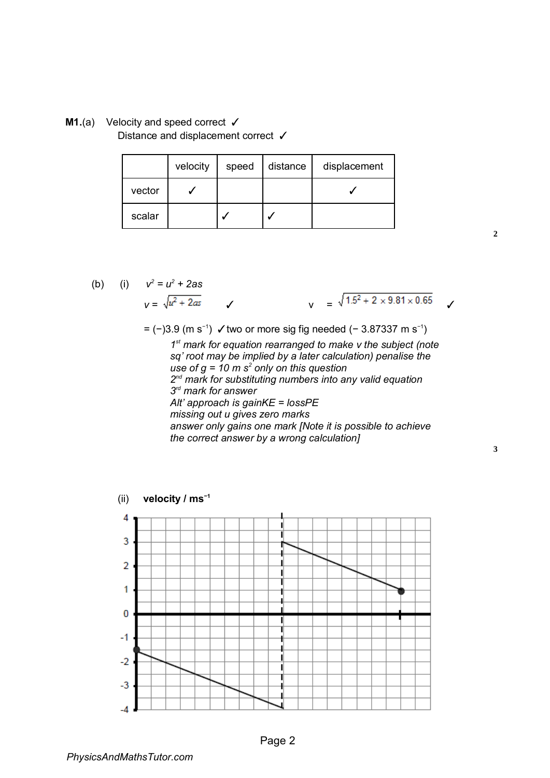**M1.**(a) Velocity and speed correct ✓ Distance and displacement correct √

|        | velocity | speed | distance | displacement |
|--------|----------|-------|----------|--------------|
| vector |          |       |          |              |
| scalar |          |       |          |              |

(b) (i) 
$$
v^2 = u^2 + 2as
$$
  
 $v = \sqrt{u^2 + 2as}$    
 $\sqrt{1.5^2 + 2 \times 9.81 \times 0.65}$ 

= (−)3.9 (m s−1) ✓two or more sig fig needed (− 3.87337 m s−1 )

*1 st mark for equation rearranged to make v the subject (note sq' root may be implied by a later calculation) penalise the use of g = 10 m s<sup>2</sup> only on this question 2 nd mark for substituting numbers into any valid equation 3 rd mark for answer Alt' approach is gainKE = lossPE missing out u gives zero marks answer only gains one mark [Note it is possible to achieve the correct answer by a wrong calculation]* 



**2**

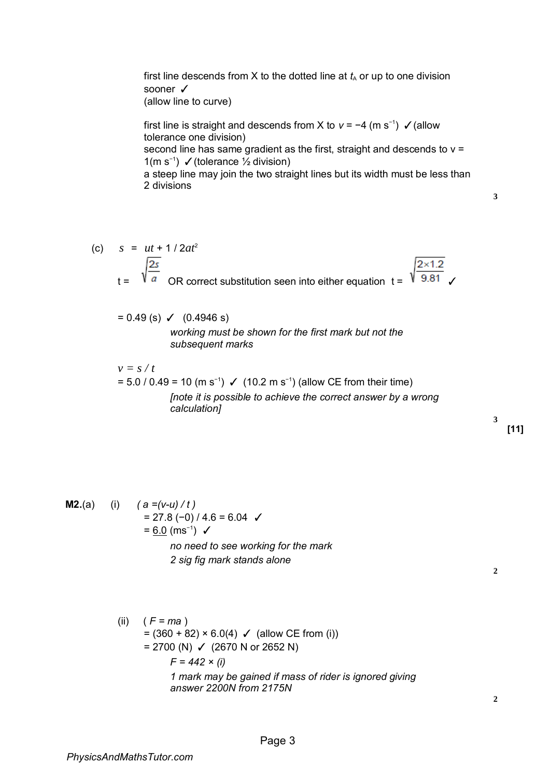first line descends from X to the dotted line at  $t_A$  or up to one division sooner ✓ (allow line to curve)

first line is straight and descends from X to *v* = −4 (m s−1) ✓(allow tolerance one division) second line has same gradient as the first, straight and descends to  $v =$ 1(m s−1 ) ✓(tolerance ½ division) a steep line may join the two straight lines but its width must be less than 2 divisions

**3**

(c) *s* = *ut* + 1 / 2*at*<sup>2</sup>  $\sqrt{\frac{2s}{a}}$  OR correct substitution seen into either equation t =  $\sqrt{\frac{2 \times 1.2}{9.81}}$ 2s

 $= 0.49$  (s)  $\checkmark$  (0.4946 s)

*working must be shown for the first mark but not the subsequent marks* 

 $v = s / t$ = 5.0 / 0.49 = 10 (m s<sup>-1</sup>) ✓ (10.2 m s<sup>-1</sup>) (allow CE from their time) *[note it is possible to achieve the correct answer by a wrong calculation]* 

**M2.**(a) (i)  $(a = (v-u) / t)$  $= 27.8 (-0) / 4.6 = 6.04$ = <u>6.0</u> (ms<sup>-1</sup>) **✓** *no need to see working for the mark 2 sig fig mark stands alone* 

**2**

(ii) ( *F = ma* )  $= (360 + 82) \times 6.0(4)$   $\checkmark$  (allow CE from (i)) = 2700 (N)  $\checkmark$  (2670 N or 2652 N) *F = 442 × (i) 1 mark may be gained if mass of rider is ignored giving answer 2200N from 2175N* 

**2**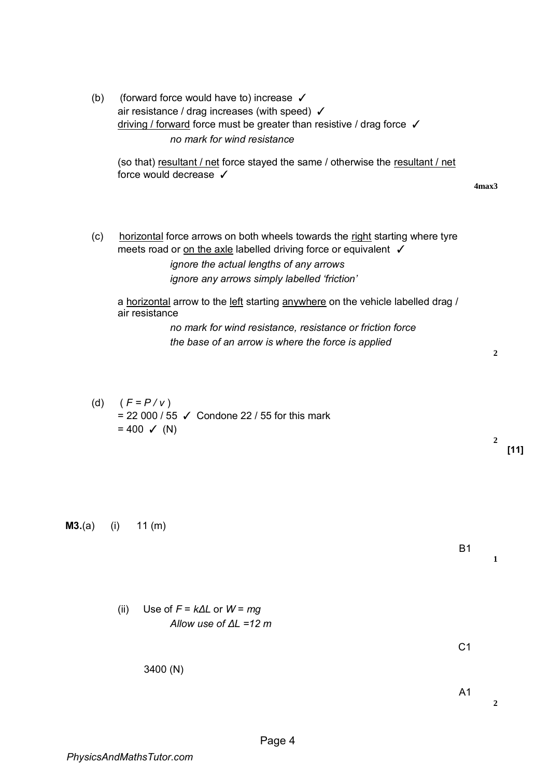(b) (forward force would have to) increase ✓ air resistance / drag increases (with speed) ✓ driving / forward force must be greater than resistive / drag force ✓ *no mark for wind resistance*  (so that) resultant / net force stayed the same / otherwise the resultant / net force would decrease ✓ **4max3**  (c) horizontal force arrows on both wheels towards the right starting where tyre meets road or on the axle labelled driving force or equivalent  $\square$ *ignore the actual lengths of any arrows ignore any arrows simply labelled 'friction'*  a horizontal arrow to the left starting anywhere on the vehicle labelled drag / air resistance *no mark for wind resistance, resistance or friction force the base of an arrow is where the force is applied*  **2** (d)  $(F = P / V)$  $= 22000 / 55$  ✓ Condone 22 / 55 for this mark  $= 400 \checkmark$  (N) **2**

**M3.**(a) (i) 11 (m)

(ii) Use of *F* = *kΔL* or *W* = *mg Allow use of ΔL =12 m* 

3400 (N)

**2**

B1

 $C<sub>1</sub>$ 

A1

**1**

**[11]**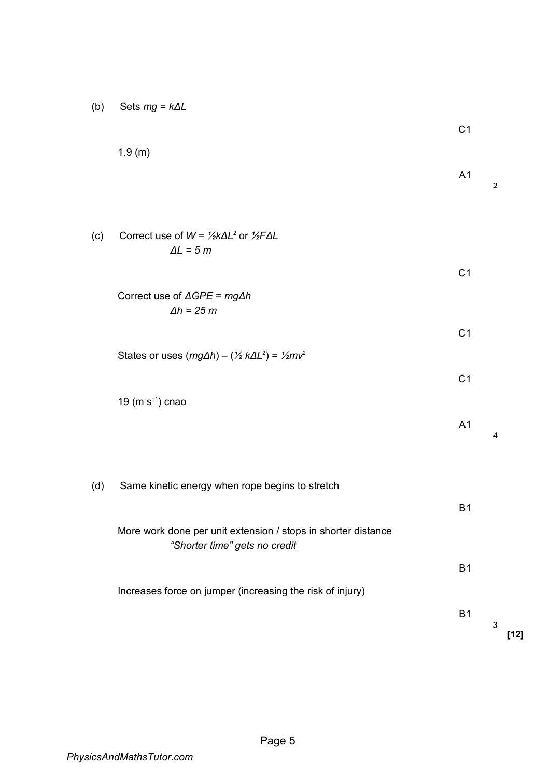| (b) |  | Sets $mg = k\Delta L$ |  |
|-----|--|-----------------------|--|
|-----|--|-----------------------|--|

|     | 1.9(m)                                                                     | A <sub>1</sub> | $\boldsymbol{2}$        |
|-----|----------------------------------------------------------------------------|----------------|-------------------------|
| (c) | Correct use of $W = \frac{1}{2}k\Delta L^2$ or $\frac{1}{2}F\Delta L$      |                |                         |
|     | $\Delta L = 5 m$                                                           | C <sub>1</sub> |                         |
|     | Correct use of $\triangle GPE = mg\triangle h$<br>$\Delta h = 25$ m        |                |                         |
|     | States or uses $(mg\Delta h) - (\frac{1}{2}k\Delta L^2) = \frac{1}{2}mv^2$ | C <sub>1</sub> |                         |
|     | 19 (m $s^{-1}$ ) cnao                                                      | C <sub>1</sub> |                         |
|     |                                                                            | A <sub>1</sub> | $\overline{\mathbf{4}}$ |
| (d) | Same kinetic energy when rope begins to stretch                            |                |                         |
|     | More work done per unit extension / stops in shorter distance              | <b>B1</b>      |                         |
|     | "Shorter time" gets no credit                                              | B <sub>1</sub> |                         |
|     | Increases force on jumper (increasing the risk of injury)                  | <b>B1</b>      |                         |
|     |                                                                            |                | $\mathbf{3}$<br>$[12]$  |

C1